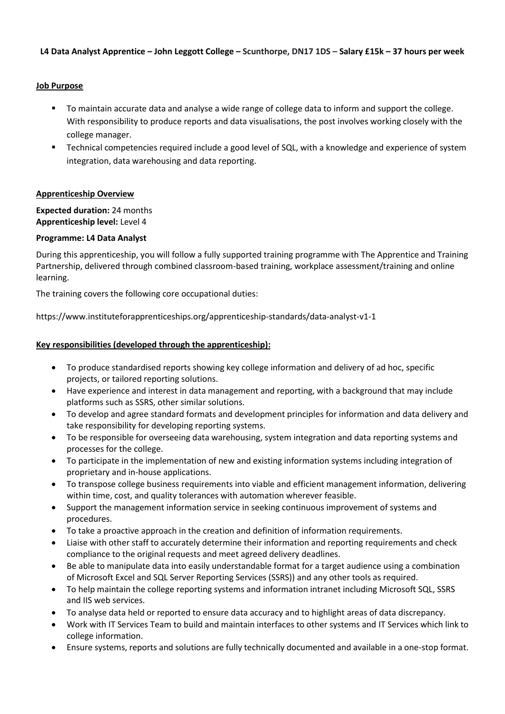### **L4 Data Analyst Apprentice – John Leggott College – Scunthorpe, DN17 1DS – Salary £15k – 37 hours per week**

### **Job Purpose**

- To maintain accurate data and analyse a wide range of college data to inform and support the college. With responsibility to produce reports and data visualisations, the post involves working closely with the college manager.
- **EXECT** Technical competencies required include a good level of SQL, with a knowledge and experience of system integration, data warehousing and data reporting.

### **Apprenticeship Overview**

**Expected duration:** 24 months **Apprenticeship level:** Level 4

### **Programme: L4 Data Analyst**

During this apprenticeship, you will follow a fully supported training programme with The Apprentice and Training Partnership, delivered through combined classroom-based training, workplace assessment/training and online learning.

The training covers the following core occupational duties:

https://www.instituteforapprenticeships.org/apprenticeship-standards/data-analyst-v1-1

# **Key responsibilities (developed through the apprenticeship):**

- To produce standardised reports showing key college information and delivery of ad hoc, specific projects, or tailored reporting solutions.
- Have experience and interest in data management and reporting, with a background that may include platforms such as SSRS, other similar solutions.
- To develop and agree standard formats and development principles for information and data delivery and take responsibility for developing reporting systems.
- To be responsible for overseeing data warehousing, system integration and data reporting systems and processes for the college.
- To participate in the implementation of new and existing information systems including integration of proprietary and in-house applications.
- To transpose college business requirements into viable and efficient management information, delivering within time, cost, and quality tolerances with automation wherever feasible.
- Support the management information service in seeking continuous improvement of systems and procedures.
- To take a proactive approach in the creation and definition of information requirements.
- Liaise with other staff to accurately determine their information and reporting requirements and check compliance to the original requests and meet agreed delivery deadlines.
- Be able to manipulate data into easily understandable format for a target audience using a combination of Microsoft Excel and SQL Server Reporting Services (SSRS)) and any other tools as required.
- To help maintain the college reporting systems and information intranet including Microsoft SQL, SSRS and IIS web services.
- To analyse data held or reported to ensure data accuracy and to highlight areas of data discrepancy.
- Work with IT Services Team to build and maintain interfaces to other systems and IT Services which link to college information.
- Ensure systems, reports and solutions are fully technically documented and available in a one-stop format.